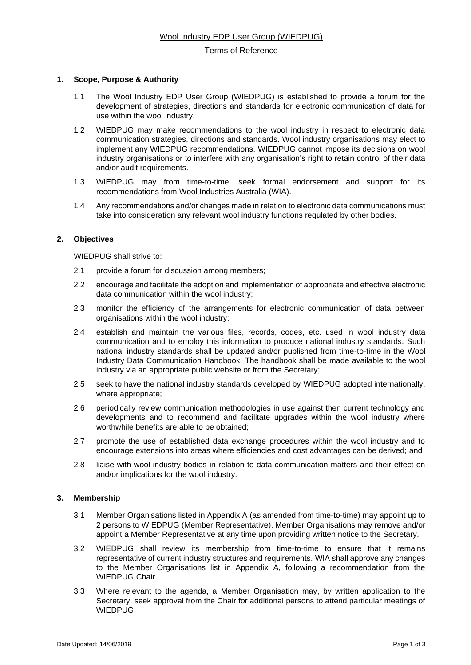## Terms of Reference

### **1. Scope, Purpose & Authority**

- 1.1 The Wool Industry EDP User Group (WIEDPUG) is established to provide a forum for the development of strategies, directions and standards for electronic communication of data for use within the wool industry.
- 1.2 WIEDPUG may make recommendations to the wool industry in respect to electronic data communication strategies, directions and standards. Wool industry organisations may elect to implement any WIEDPUG recommendations. WIEDPUG cannot impose its decisions on wool industry organisations or to interfere with any organisation's right to retain control of their data and/or audit requirements.
- 1.3 WIEDPUG may from time-to-time, seek formal endorsement and support for its recommendations from Wool Industries Australia (WIA).
- 1.4 Any recommendations and/or changes made in relation to electronic data communications must take into consideration any relevant wool industry functions regulated by other bodies.

## **2. Objectives**

WIEDPUG shall strive to:

- 2.1 provide a forum for discussion among members;
- 2.2 encourage and facilitate the adoption and implementation of appropriate and effective electronic data communication within the wool industry;
- 2.3 monitor the efficiency of the arrangements for electronic communication of data between organisations within the wool industry;
- 2.4 establish and maintain the various files, records, codes, etc. used in wool industry data communication and to employ this information to produce national industry standards. Such national industry standards shall be updated and/or published from time-to-time in the Wool Industry Data Communication Handbook. The handbook shall be made available to the wool industry via an appropriate public website or from the Secretary;
- 2.5 seek to have the national industry standards developed by WIEDPUG adopted internationally, where appropriate;
- 2.6 periodically review communication methodologies in use against then current technology and developments and to recommend and facilitate upgrades within the wool industry where worthwhile benefits are able to be obtained;
- 2.7 promote the use of established data exchange procedures within the wool industry and to encourage extensions into areas where efficiencies and cost advantages can be derived; and
- 2.8 liaise with wool industry bodies in relation to data communication matters and their effect on and/or implications for the wool industry.

# **3. Membership**

- 3.1 Member Organisations listed in Appendix A (as amended from time-to-time) may appoint up to 2 persons to WIEDPUG (Member Representative). Member Organisations may remove and/or appoint a Member Representative at any time upon providing written notice to the Secretary.
- 3.2 WIEDPUG shall review its membership from time-to-time to ensure that it remains representative of current industry structures and requirements. WIA shall approve any changes to the Member Organisations list in Appendix A, following a recommendation from the WIEDPUG Chair.
- 3.3 Where relevant to the agenda, a Member Organisation may, by written application to the Secretary, seek approval from the Chair for additional persons to attend particular meetings of WIEDPUG.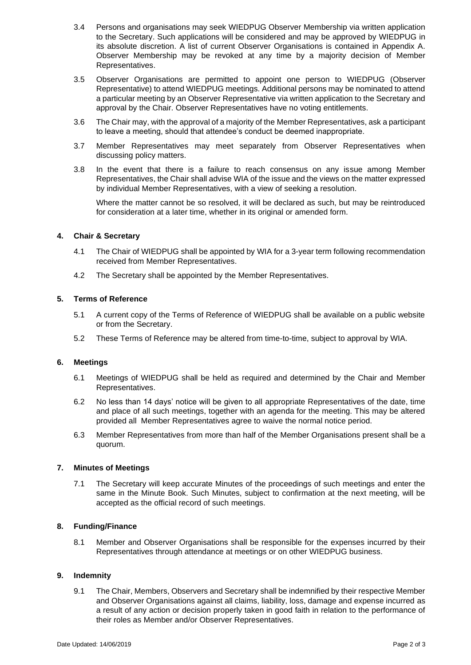- 3.4 Persons and organisations may seek WIEDPUG Observer Membership via written application to the Secretary. Such applications will be considered and may be approved by WIEDPUG in its absolute discretion. A list of current Observer Organisations is contained in Appendix A. Observer Membership may be revoked at any time by a majority decision of Member Representatives.
- 3.5 Observer Organisations are permitted to appoint one person to WIEDPUG (Observer Representative) to attend WIEDPUG meetings. Additional persons may be nominated to attend a particular meeting by an Observer Representative via written application to the Secretary and approval by the Chair. Observer Representatives have no voting entitlements.
- 3.6 The Chair may, with the approval of a majority of the Member Representatives, ask a participant to leave a meeting, should that attendee's conduct be deemed inappropriate.
- 3.7 Member Representatives may meet separately from Observer Representatives when discussing policy matters.
- 3.8 In the event that there is a failure to reach consensus on any issue among Member Representatives, the Chair shall advise WIA of the issue and the views on the matter expressed by individual Member Representatives, with a view of seeking a resolution.

Where the matter cannot be so resolved, it will be declared as such, but may be reintroduced for consideration at a later time, whether in its original or amended form.

## **4. Chair & Secretary**

- 4.1 The Chair of WIEDPUG shall be appointed by WIA for a 3-year term following recommendation received from Member Representatives.
- 4.2 The Secretary shall be appointed by the Member Representatives.

## **5. Terms of Reference**

- 5.1 A current copy of the Terms of Reference of WIEDPUG shall be available on a public website or from the Secretary.
- 5.2 These Terms of Reference may be altered from time-to-time, subject to approval by WIA.

#### **6. Meetings**

- 6.1 Meetings of WIEDPUG shall be held as required and determined by the Chair and Member Representatives.
- 6.2 No less than 14 days' notice will be given to all appropriate Representatives of the date, time and place of all such meetings, together with an agenda for the meeting. This may be altered provided all Member Representatives agree to waive the normal notice period.
- 6.3 Member Representatives from more than half of the Member Organisations present shall be a quorum.

# **7. Minutes of Meetings**

7.1 The Secretary will keep accurate Minutes of the proceedings of such meetings and enter the same in the Minute Book. Such Minutes, subject to confirmation at the next meeting, will be accepted as the official record of such meetings.

#### **8. Funding/Finance**

8.1 Member and Observer Organisations shall be responsible for the expenses incurred by their Representatives through attendance at meetings or on other WIEDPUG business.

#### **9. Indemnity**

9.1 The Chair, Members, Observers and Secretary shall be indemnified by their respective Member and Observer Organisations against all claims, liability, loss, damage and expense incurred as a result of any action or decision properly taken in good faith in relation to the performance of their roles as Member and/or Observer Representatives.